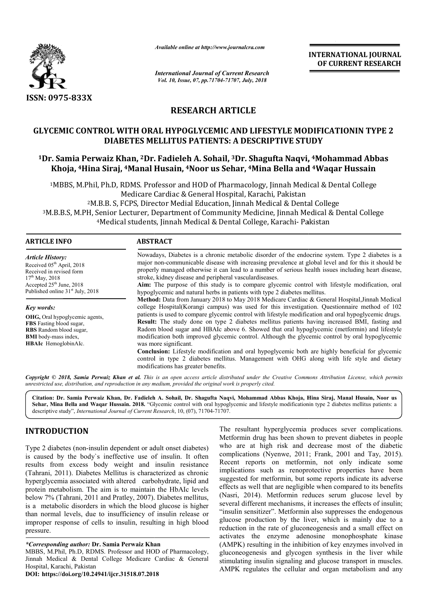

*Available online at http://www.journalcra.com*

*International Journal of Current Research Vol. 10, Issue, 07, pp.71704-71707, July, 2018*

**INTERNATIONAL JOURNAL OF CURRENT RESEARCH**

# **RESEARCH ARTICLE**

# **GLYCEMIC CONTROL WITH ORAL HYPOGLYCEMIC AND LIFESTYLE MODIFICATIONIN TYPE 2 DIABETES MELLITU MELLITUS PATIENTS: A DESCRIPTIVE STUDY 1Dr. Samia Perwaiz Khan, 2Dr. Fadieleh A. Sohail Dr. Sohail, 3Dr. Shagufta Naqvi, 2 S , 4Mohammad Abbas**

# **Khoja, 4Hina Siraj, 4Manal Husain Manal Husain, 4Noor us Sehar, 4Mina Bella and Mina 4Waqar Hussain**

<sup>1</sup>MBBS, M.Phil, Ph.D, RDMS. Professor and HOD of Pharmacology, Jinnah Medical & Dental College<br>Medicare Cardiac & General Hospital, Karachi, Pakistan<br><sup>2</sup>M.B.B. S, FCPS, Director Medial Education, Jinnah Medical & Dental C Medicare Cardiac & General Hospital, Karachi, P 2M.B.B. S, FCPS, Director Medial Education, Jinnah Medical & Dental College 3M.B.B.S, M.PH, Senior Lecturer, Department of Community Medicine, Jinnah Medical & Dental College 4Medical students, Jinnah Medical & Dental College, Karachi <sup>2</sup>M.B.B. S, FCPS, Director Medial Education, Jinnah Medical & Dental Colle<br>M.B.B.S, M.PH, Senior Lecturer, Department of Community Medicine, Jinnah Medical<br>Medical students, Jinnah Medical & Dental College, Karachi- Pakis of Community Medicine, Jinnah Medical & Dental College

| <b>ARTICLE INFO</b>                          | <b>ABSTRACT</b>                                                                                                                                                                                                                              |  |  |
|----------------------------------------------|----------------------------------------------------------------------------------------------------------------------------------------------------------------------------------------------------------------------------------------------|--|--|
| <b>Article History:</b>                      | Nowadays, Diabetes is a chronic metabolic disorder of the endocrine system. Type 2 diabetes is a                                                                                                                                             |  |  |
| Received 05 <sup>th</sup> April, 2018        | major non-communicable disease with increasing prevalence at global level and for this it should be                                                                                                                                          |  |  |
| Received in revised form                     | properly managed otherwise it can lead to a number of serious health issues including heart disease,                                                                                                                                         |  |  |
| $17th$ May, 2018                             | stroke, kidney disease and peripheral vascular diseases.                                                                                                                                                                                     |  |  |
| Accepted $25th$ June, 2018                   | Aim: The purpose of this study is to compare glycemic control with lifestyle modification, oral                                                                                                                                              |  |  |
| Published online 31 <sup>st</sup> July, 2018 | hypoglycemic and natural herbs in patients with type 2 diabetes mellitus.                                                                                                                                                                    |  |  |
| Key words:                                   | Method: Data from January 2018 to May 2018 Medicare Cardiac & General Hospital, Jinnah Medical<br>college Hospital(Korangi campus) was used for this investigation. Questionnaire method of 102                                              |  |  |
| <b>OHG</b> , Oral hypoglycemic agents,       | patients is used to compare glycemic control with lifestyle modification and oral hypoglycemic drugs.                                                                                                                                        |  |  |
| <b>FBS</b> Fasting blood sugar,              | <b>Result:</b> The study done on type 2 diabetes mellitus patients having increased BMI, fasting and                                                                                                                                         |  |  |
| <b>RBS</b> Random blood sugar,               | Radom blood sugar and HBAIc above 6. Showed that oral hypoglycemic (metformin) and lifestyle                                                                                                                                                 |  |  |
| <b>BMI</b> body-mass index,                  | modification both improved glycemic control. Although the glycemic control by oral hypoglycemic                                                                                                                                              |  |  |
| HBAIc HemoglobinAIc.                         | was more significant.                                                                                                                                                                                                                        |  |  |
|                                              | <b>Conclusion:</b> Lifestyle modification and oral hypoglycemic both are highly beneficial for glycemic<br>control in type 2 diabetes mellitus. Management with OHG along with life style and dietary<br>modifications has greater benefits. |  |  |

Copyright © 2018, Samia Perwaiz Khan et al. This is an open access article distributed under the Creative Commons Attribution License, which permits *unrestricted use, distribution, and reproduction in any medium, provided the original work is properly cited.*

Citation: Dr. Samia Perwaiz Khan, Dr. Fadieleh A. Sohail, Dr. Shagufta Naqvi, Mohammad Abbas Khoja, Hina Siraj, Manal Husain, Noor us Sehar, Mina Bella and Waqar Hussain. 2018. "Glycemic control with oral hypoglycemic and lifestyle modificationin type 2 diabetes mellitus patients: a **Sehar, Mina Bella and Waqar Hussain. 2018.** "Glycemic control with oral hypogl<br>descriptive study", *International Journal of Current Research*, 10, (07), 71704-71707.

# **INTRODUCTION**

Type 2 diabetes (non-insulin dependent or adult onset diabetes) is caused by the body`s ineffective use of insulin. It often results from excess body weight and insulin resistance (Tahrani, 2011). Diabetes Mellitus is characterized as chronic hyperglycemia associated with altered carbohydrate, lipid and protein metabolism. The aim is to maintain the HbAIc levels below 7% (Tahrani, 2011 and Pratley, 2007). Diabetes mellitus, is a metabolic disorders in which the blood glucose is higher than normal levels, due to insufficiency of insulin release or improper response of cells to insulin, resulting in high blood pressure. insulin dependent or adult onset diabetes)<br>dy's ineffective use of insulin. It often<br>body weight and insulin resistance<br>betes Mellitus is characterized as chronic<br>ated with altered carbohydrate, lipid and<br>The aim is to mai

**DOI: https://doi.org/10.24941/ijcr.31518.07.2018**

The resultant hyperglycemia produces sever complications.<br>
Moreovernin drug has been shown to prevent dabetes in people<br>
use of insulin. It often complications (Nyenwe, 2011; Frank, 2001 and Tay, 2015).<br>
and insulin resist The resultant hyperglycemia produces sever complications.<br>Metformin drug has been shown to prevent diabetes in people who are at high risk and decrease most of the diabetic complications (Nyenwe, 2011; Frank, 2001 and Tay, 2015). Recent reports on metformin, not only indicate some implications such as renoprotective properties have been suggested for metformin, but some reports indicate its adverse effects as well that are negligible when compared to its benefits (Nasri, 2014). Metformin reduces serum glucose level by several different mechanisms, it increases the effects of insulin; "insulin sensitizer". Metformin also suppresses the endogenous glucose production by the liver, which is mainly due to a reduction in the rate of gluconeogenesis and a small effect on activates the enzyme adenosine monophosphate kinase (AMPK) resulting in the inhibition of key enzymes involved in gluconeogenesis and glycogen synthesis in the liver while stimulating insulin signaling and glucose transport in muscles. AMPK regulates the cellular and organ metabolism and any are at high risk and decrease most of the diabetic<br>lications (Nyenwe, 2011; Frank, 2001 and Tay, 2015).<br>It reports on metformin, not only indicate some<br>zations such as renoprotective properties have been<br>sted for metformin **INTERNATIONAL JOURNAL EXECTS (CONSUMMAL CONSUMMAL CONSUMMAL CONSUMMAL CONSUMMAL CONSUMMAL CONSUMMAL CONSUMMAL CONSUMMAL CONSUMMAL AND A DESCRIPTIVE STUDY THIS ADESCRIPTIVE STUDY PAIR AND A DEVICATION IN A DEVICATION IN A** 

*<sup>\*</sup>Corresponding author:* **Dr. Samia Perwaiz Khan**

MBBS, M.Phil, Ph.D, RDMS. Professor and HOD of Pharmacology, Jinnah Medical & Dental College Medicare Cardiac & General Hospital, Karachi, Pakistan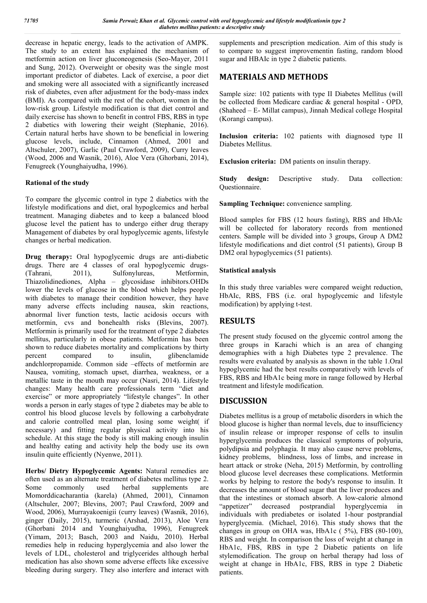decrease in hepatic energy, leads to the activation of AMPK. The study to an extent has explained the mechanism of metformin action on liver gluconeogenesis (Seo-Mayer, 2011 and Sung, 2012). Overweight or obesity was the single most important predictor of diabetes. Lack of exercise, a poor diet and smoking were all associated with a significantly increased risk of diabetes, even after adjustment for the body-mass index (BMI). As compared with the rest of the cohort, women in the low-risk group. Lifestyle modification is that diet control and daily exercise has shown to benefit in control FBS, RBS in type 2 diabetics with lowering their weight (Stephanie, 2016). Certain natural herbs have shown to be beneficial in lowering glucose levels, include, Cinnamon (Ahmed, 2001 and Altschuler, 2007), Garlic (Paul Crawford, 2009), Curry leaves (Wood, 2006 and Wasnik, 2016), Aloe Vera (Ghorbani, 2014), Fenugreek (Younghaiyudha, 1996).

#### **Rational of the study**

To compare the glycemic control in type 2 diabetics with the lifestyle modifications and diet, oral hypoglcemics and herbal treatment. Managing diabetes and to keep a balanced blood glucose level the patient has to undergo either drug therapy Management of diabetes by oral hypoglycemic agents, lifestyle changes or herbal medication.

**Drug therapy:** Oral hypoglycemic drugs are anti-diabetic drugs. There are 4 classes of oral hypoglycemic drugs- (Tahrani, 2011), Sulfonylureas, Metformin, Thiazolidinediones, Alpha – glycosidase inhibitors.OHDs lower the levels of glucose in the blood which helps people with diabetes to manage their condition however, they have many adverse effects including nausea, skin reactions, abnormal liver function tests, lactic acidosis occurs with metformin, cvs and bonehealth risks (Blevins, 2007). Metformin is primarily used for the treatment of type 2 diabetes mellitus, particularly in obese patients. Metformin has been shown to reduce diabetes mortality and complications by thirty percent compared to insulin, glibenclamide andchlorpropamide. Common side –effects of metformin are Nausea, vomiting, stomach upset, diarrhea, weakness, or a metallic taste in the mouth may occur (Nasri, 2014). Lifestyle changes: Many health care professionals term "diet and exercise" or more appropriately "lifestyle changes". In other words a person in early stages of type 2 diabetes may be able to control his blood glucose levels by following a carbohydrate and calorie controlled meal plan, losing some weight( if necessary) and fitting regular physical activity into his schedule. At this stage the body is still making enough insulin and healthy eating and activity help the body use its own insulin quite efficiently (Nyenwe, 2011).

**Herbs/ Dietry Hypoglycemic Agents:** Natural remedies are often used as an alternate treatment of diabetes mellitus type 2. Some commonly used herbal supplements are Momorddicacharantia (karela) (Ahmed, 2001), Cinnamon (Altschuler, 2007; Blevins, 2007; Paul Crawford, 2009 and Wood, 2006), Murrayakoenigii (curry leaves) (Wasnik, 2016), ginger (Daily, 2015), turmeric (Arshad, 2013), Aloe Vera (Ghorbani 2014 and Younghaiyudha, 1996), Fenugreek (Yimam, 2013; Basch, 2003 and Naidu, 2010). Herbal remedies help in reducing hyperglycemia and also lower the levels of LDL, cholesterol and triglycerides although herbal medication has also shown some adverse effects like excessive bleeding during surgery. They also interfere and interact with supplements and prescription medication. Aim of this study is to compare to suggest improvementin fasting, random blood sugar and HBAIc in type 2 diabetic patients.

## **MATERIALS AND METHODS**

Sample size: 102 patients with type II Diabetes Mellitus (will be collected from Medicare cardiac & general hospital - OPD, (Shaheed – E- Millat campus), Jinnah Medical college Hospital (Korangi campus).

**Inclusion criteria:** 102 patients with diagnosed type II Diabetes Mellitus.

**Exclusion criteria:** DM patients on insulin therapy.

**Study design:** Descriptive study. Data collection: Questionnaire.

**Sampling Technique:** convenience sampling.

Blood samples for FBS (12 hours fasting), RBS and HbAIc will be collected for laboratory records from mentioned centers. Sample will be divided into 3 groups, Group A DM2 lifestyle modifications and diet control (51 patients), Group B DM2 oral hypoglycemics (51 patients).

#### **Statistical analysis**

In this study three variables were compared weight reduction, HbAIc, RBS, FBS (i.e. oral hypoglycemic and lifestyle modification) by applying t-test.

# **RESULTS**

The present study focused on the glycemic control among the three groups in Karachi which is an area of changing demographies with a high Diabetes type 2 prevalence. The results were evaluated by analysis as shown in the table 1.Oral hypoglycemic had the best results comparatively with levels of FBS, RBS and HbA1c being more in range followed by Herbal treatment and lifestyle modification.

#### **DISCUSSION**

Diabetes mellitus is a group of metabolic disorders in which the blood glucose is higher than normal levels, due to insufficiency of insulin release or improper response of cells to insulin hyperglycemia produces the classical symptoms of polyuria, polydipsia and polyphagia. It may also cause nerve problems, kidney problems, blindness, loss of limbs, and increase in heart attack or stroke (Neha, 2015) Metformin, by controlling blood glucose level decreases these complications. Metformin works by helping to restore the body's response to insulin. It decreases the amount of blood sugar that the liver produces and that the intestines or stomach absorb. A low-calorie almond "appetizer" decreased postprandial hyperglycemia in individuals with prediabetes or isolated 1-hour postprandial hyperglycemia. (Michael, 2016). This study shows that the changes in group on OHA was, HbA1c ( 5%), FBS (80-100), RBS and weight. In comparison the loss of weight at change in HbA1c, FBS, RBS in type 2 Diabetic patients on life stylemodification. The group on herbal therapy had loss of weight at change in HbA1c, FBS, RBS in type 2 Diabetic patients.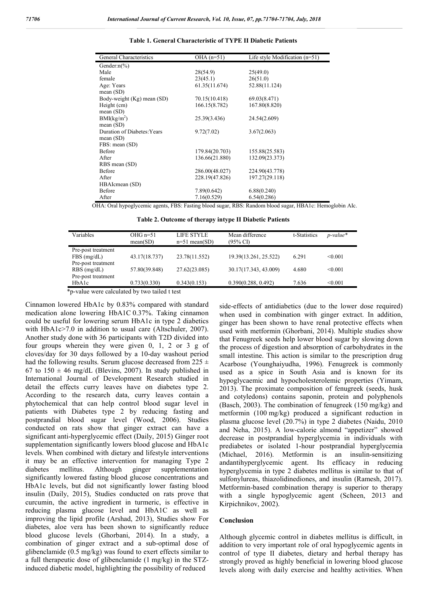| General Characteristics     | OHA $(n=51)$   | Life style Modification $(n=51)$ |
|-----------------------------|----------------|----------------------------------|
| Gender: $n\frac{\%}{\ }$    |                |                                  |
| Male                        | 28(54.9)       | 25(49.0)                         |
| female                      | 23(45.1)       | 26(51.0)                         |
| Age: Years                  | 61.35(11.674)  | 52.88(11.124)                    |
| mean $(SD)$                 |                |                                  |
| Body-weight (Kg) mean (SD)  | 70.15(10.418)  | 69.03(8.471)                     |
| Height (cm)                 | 166.15(8.782)  | 167.80(8.820)                    |
| mean $(SD)$                 |                |                                  |
| BMI(kg/m <sup>2</sup> )     | 25.39(3.436)   | 24.54(2.609)                     |
| mean $(SD)$                 |                |                                  |
| Duration of Diabetes: Years | 9.72(7.02)     | 3.67(2.063)                      |
| mean $(SD)$                 |                |                                  |
| FBS: mean (SD)              |                |                                  |
| <b>Before</b>               | 179.84(20.703) | 155.88(25.583)                   |
| After                       | 136.66(21.880) | 132.09(23.373)                   |
| RBS mean (SD)               |                |                                  |
| Before                      | 286.00(48.027) | 224.90(43.778)                   |
| After                       | 228.19(47.826) | 197.27(29.118)                   |
| HBAIcmean (SD)              |                |                                  |
| Before                      | 7.89(0.642)    | 6.88(0.240)                      |
| After                       | 7.16(0.529)    | 6.54(0.286)                      |

#### **Table 1. General Characteristic of TYPE II Diabetic Patients**

OHA: Oral hypoglycemic agents, FBS: Fasting blood sugar, RBS: Random blood sugar, HBA1c: Hemoglobin AIc.

**Table 2. Outcome of therapy intype II Diabetic Patients**

| Variables          | $OHG$ n=51<br>mean(SD)                                                     | LIFE STYLE<br>$n=51$ mean(SD) | Mean difference<br>$(95\% \text{ CI})$ | t-Statistics | $p$ -value* |
|--------------------|----------------------------------------------------------------------------|-------------------------------|----------------------------------------|--------------|-------------|
| Pre-post treatment |                                                                            |                               |                                        |              |             |
| FBS(mg/dL)         | 43.17(18.737)                                                              | 23.78(11.552)                 | 19.39(13.261, 25.522)                  | 6.291        | < 0.001     |
| Pre-post treatment |                                                                            |                               |                                        |              |             |
| $RBS$ (mg/dL)      | 57.80(39.848)                                                              | 27.62(23.085)                 | 30.17(17.343, 43.009)                  | 4.680        | < 0.001     |
| Pre-post treatment |                                                                            |                               |                                        |              |             |
| HbA1c              | 0.733(0.330)                                                               | 0.343(0.153)                  | 0.390(0.288, 0.492)                    | 7.636        | < 0.001     |
| $\sim$             | $-1$ , $-1$ , $-1$ , $-1$ , $-1$ , $-1$ , $-1$ , $-1$ , $-1$ , $-1$ , $-1$ |                               |                                        |              |             |

\*p-value were calculated by two tailed t test

Cinnamon lowered HbA1c by 0.83% compared with standard medication alone lowering HbA1C 0.37%. Taking cinnamon could be useful for lowering serum HbA1c in type 2 diabetics with HbA1c>7.0 in addition to usual care (Altschuler, 2007). Another study done with 36 participants with T2D divided into four groups wherein they were given 0, 1, 2 or 3 g of cloves/day for 30 days followed by a 10-day washout period had the following results. Serum glucose decreased from  $225 \pm$ 67 to  $150 \pm 46$  mg/dL (Blevins, 2007). In study published in International Journal of Development Research studied in detail the effects curry leaves have on diabetes type 2. According to the research data, curry leaves contain a phytochemical that can help control blood sugar level in patients with Diabetes type 2 by reducing fasting and postprandial blood sugar level (Wood, 2006). Studies conducted on rats show that ginger extract can have a significant anti-hyperglycemic effect (Daily, 2015) Ginger root supplementation significantly lowers blood glucose and HbA1c levels. When combined with dietary and lifestyle interventions it may be an effective intervention for managing Type 2 diabetes mellitus. Although ginger supplementation significantly lowered fasting blood glucose concentrations and HbA1c levels, but did not significantly lower fasting blood insulin (Daily, 2015), Studies conducted on rats prove that curcumin, the active ingredient in turmeric, is effective in reducing plasma glucose level and HbA1C as well as improving the lipid profile (Arshad, 2013), Studies show For diabetes, aloe vera has been shown to significantly reduce blood glucose levels (Ghorbani, 2014). In a study, a combination of ginger extract and a sub-optimal dose of glibenclamide (0.5 mg/kg) was found to exert effects similar to a full therapeutic dose of glibenclamide (1 mg/kg) in the STZinduced diabetic model, highlighting the possibility of reduced

side-effects of antidiabetics (due to the lower dose required) when used in combination with ginger extract. In addition, ginger has been shown to have renal protective effects when used with metformin (Ghorbani, 2014). Multiple studies show that Fenugreek seeds help lower blood sugar by slowing down the process of digestion and absorption of carbohydrates in the small intestine. This action is similar to the prescription drug Acarbose (Younghaiyudha, 1996). Fenugreek is commonly used as a spice in South Asia and is known for its hypoglycaemic and hypocholesterolemic properties (Yimam, 2013). The proximate composition of fenugreek (seeds, husk and cotyledons) contains saponin, protein and polyphenols (Basch, 2003). The combination of fenugreek (150 mg/kg) and metformin (100 mg/kg) produced a significant reduction in plasma glucose level (20.7%) in type 2 diabetes (Naidu, 2010 and Neha, 2015). A low-calorie almond "appetizer" showed decrease in postprandial hyperglycemia in individuals with prediabetes or isolated 1-hour postprandial hyperglycemia (Michael, 2016). Metformin is an insulin-sensitizing andantihyperglycemic agent. Its efficacy in reducing hyperglycemia in type 2 diabetes mellitus is similar to that of sulfonylureas, thiazolidinediones, and insulin (Ramesh, 2017). Metformin-based combination therapy is superior to therapy with a single hypoglycemic agent (Scheen, 2013 and Kirpichnikov, 2002).

#### **Conclusion**

Although glycemic control in diabetes mellitus is difficult, in addition to very important role of oral hypoglycemic agents in control of type II diabetes, dietary and herbal therapy has strongly proved as highly beneficial in lowering blood glucose levels along with daily exercise and healthy activities. When